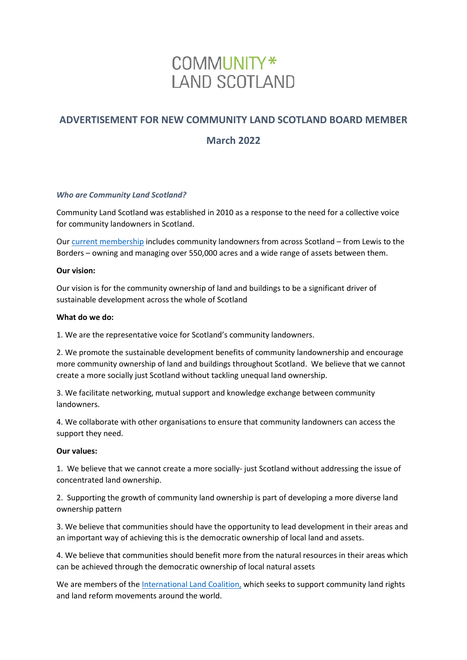## COMMUNITY\* **LAND SCOTLAND**

# **ADVERTISEMENT FOR NEW COMMUNITY LAND SCOTLAND BOARD MEMBER**

### **March 2022**

#### *Who are Community Land Scotland?*

Community Land Scotland was established in 2010 as a response to the need for a collective voice for community landowners in Scotland.

Our [current membership](https://www.communitylandscotland.org.uk/members/) includes community landowners from across Scotland – from Lewis to the Borders – owning and managing over 550,000 acres and a wide range of assets between them.

#### **Our vision:**

Our vision is for the community ownership of land and buildings to be a significant driver of sustainable development across the whole of Scotland

#### **What do we do:**

1. We are the representative voice for Scotland's community landowners.

2. We promote the sustainable development benefits of community landownership and encourage more community ownership of land and buildings throughout Scotland. We believe that we cannot create a more socially just Scotland without tackling unequal land ownership.

3. We facilitate networking, mutual support and knowledge exchange between community landowners.

4. We collaborate with other organisations to ensure that community landowners can access the support they need.

#### **Our values:**

1. We believe that we cannot create a more socially- just Scotland without addressing the issue of concentrated land ownership.

2. Supporting the growth of community land ownership is part of developing a more diverse land ownership pattern

3. We believe that communities should have the opportunity to lead development in their areas and an important way of achieving this is the democratic ownership of local land and assets.

4. We believe that communities should benefit more from the natural resources in their areas which can be achieved through the democratic ownership of local natural assets

We are members of the [International Land Coalition,](http://www.landcoalition.org/) which seeks to support community land rights and land reform movements around the world.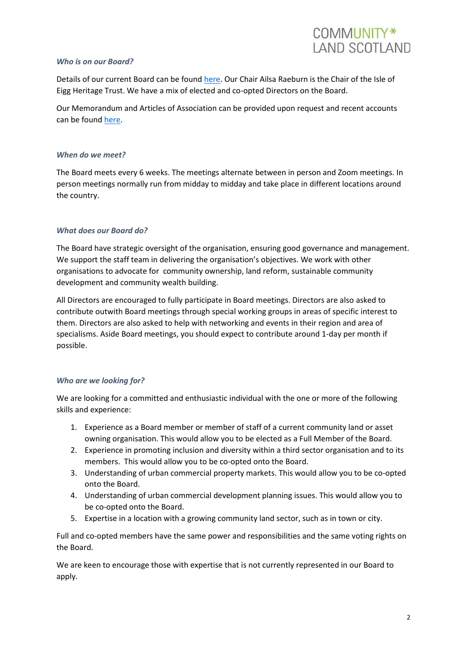#### *Who is on our Board?*

Details of our current Board can be found [here.](https://www.communitylandscotland.org.uk/about-us/who-we-are/) Our Chair Ailsa Raeburn is the Chair of the Isle of Eigg Heritage Trust. We have a mix of elected and co-opted Directors on the Board.

Our Memorandum and Articles of Association can be provided upon request and recent accounts can be found [here.](https://www.communitylandscotland.org.uk/wp-content/uploads/2021/12/2020-2021-Final-Accounts18.pdf)

#### *When do we meet?*

The Board meets every 6 weeks. The meetings alternate between in person and Zoom meetings. In person meetings normally run from midday to midday and take place in different locations around the country.

#### *What does our Board do?*

The Board have strategic oversight of the organisation, ensuring good governance and management. We support the staff team in delivering the organisation's objectives. We work with other organisations to advocate for community ownership, land reform, sustainable community development and community wealth building.

All Directors are encouraged to fully participate in Board meetings. Directors are also asked to contribute outwith Board meetings through special working groups in areas of specific interest to them. Directors are also asked to help with networking and events in their region and area of specialisms. Aside Board meetings, you should expect to contribute around 1-day per month if possible.

#### *Who are we looking for?*

We are looking for a committed and enthusiastic individual with the one or more of the following skills and experience:

- 1. Experience as a Board member or member of staff of a current community land or asset owning organisation. This would allow you to be elected as a Full Member of the Board.
- 2. Experience in promoting inclusion and diversity within a third sector organisation and to its members. This would allow you to be co-opted onto the Board.
- 3. Understanding of urban commercial property markets. This would allow you to be co-opted onto the Board.
- 4. Understanding of urban commercial development planning issues. This would allow you to be co-opted onto the Board.
- 5. Expertise in a location with a growing community land sector, such as in town or city.

Full and co-opted members have the same power and responsibilities and the same voting rights on the Board.

We are keen to encourage those with expertise that is not currently represented in our Board to apply.